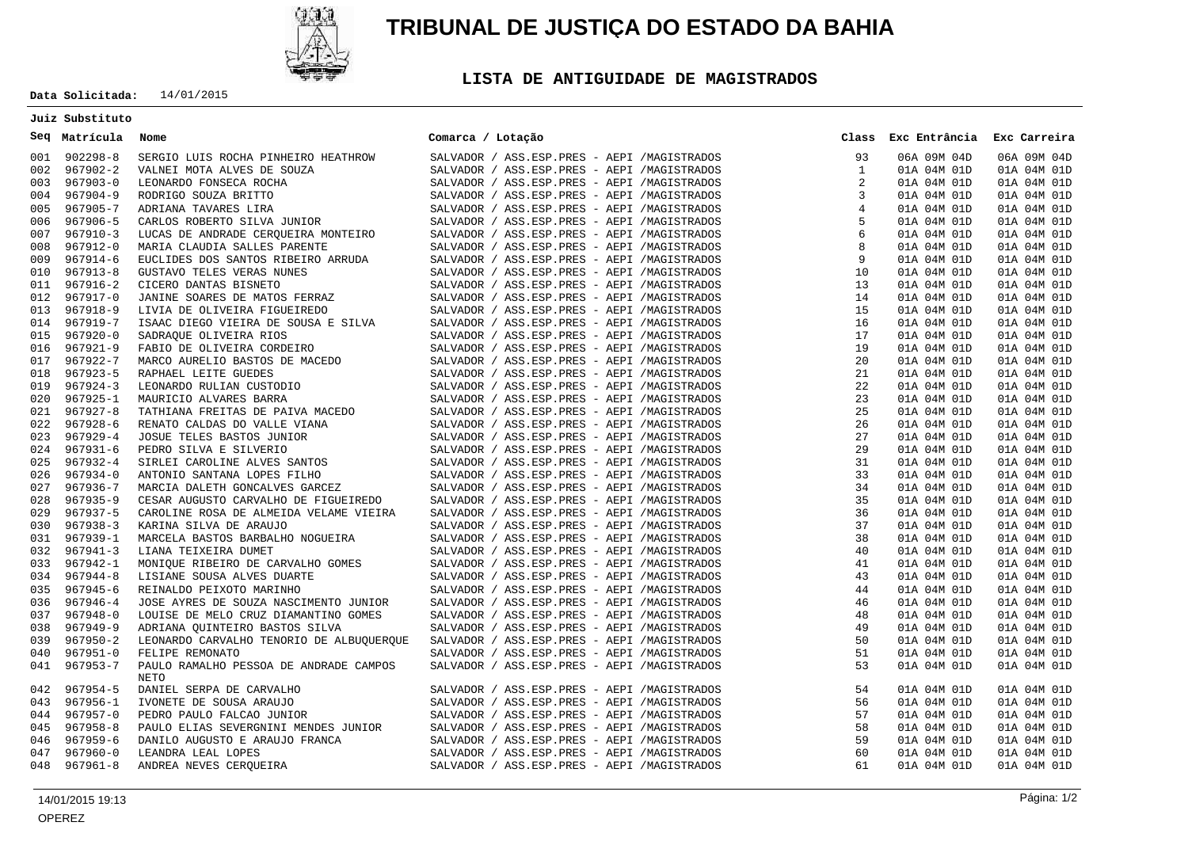

# **TRIBUNAL DE JUSTIÇA DO ESTADO DA BAHIA**

## **LISTA DE ANTIGUIDADE DE MAGISTRADOS**

**Data Solicitada:** 14/01/2015

### **Juiz Substituto**

#### **Matrícula Nome Seq**

|     | 001 902298-8 | SERGIO LUIS ROCHA PINHEIRO HEATHROW<br>SERGIO LUIS ROCHA PINHEIRO HEATHROW<br>VALMEI MOTA ALVES DE SOUZA<br>VALMEI MOTA ALVES DE SOUZA<br>RODRICO FONSECA ROCHA<br>RODRICO SOUZA BRITTO<br>ADRIANA TAVARES LIRA<br>CARLOS ROBRETO SILVA JUNIOR<br>LUCAS DE ANDRADE CERQUEIRA MONTEIRO<br>MARI |  |  |  | SALVADOR / ASS.ESP.PRES - AEPI /MAGISTRADOS | 93 | 06A 09M 04D | 06A 09M 04D |  |
|-----|--------------|-----------------------------------------------------------------------------------------------------------------------------------------------------------------------------------------------------------------------------------------------------------------------------------------------|--|--|--|---------------------------------------------|----|-------------|-------------|--|
|     | 002 967902-2 |                                                                                                                                                                                                                                                                                               |  |  |  | SALVADOR / ASS.ESP.PRES - AEPI /MAGISTRADOS |    | 01A 04M 01D | 01A 04M 01D |  |
|     | 003 967903-0 |                                                                                                                                                                                                                                                                                               |  |  |  | SALVADOR / ASS.ESP.PRES - AEPI /MAGISTRADOS |    | 01A 04M 01D | 01A 04M 01D |  |
|     | 004 967904-9 |                                                                                                                                                                                                                                                                                               |  |  |  | SALVADOR / ASS.ESP.PRES - AEPI /MAGISTRADOS |    | 01A 04M 01D | 01A 04M 01D |  |
| 005 | 967905-7     |                                                                                                                                                                                                                                                                                               |  |  |  | SALVADOR / ASS.ESP.PRES - AEPI /MAGISTRADOS |    | 01A 04M 01D | 01A 04M 01D |  |
| 006 | 967906-5     |                                                                                                                                                                                                                                                                                               |  |  |  | SALVADOR / ASS.ESP.PRES - AEPI /MAGISTRADOS |    | 01A 04M 01D | 01A 04M 01D |  |
| 007 | 967910-3     |                                                                                                                                                                                                                                                                                               |  |  |  | SALVADOR / ASS.ESP.PRES - AEPI /MAGISTRADOS |    | 01A 04M 01D | 01A 04M 01D |  |
| 008 | 967912-0     |                                                                                                                                                                                                                                                                                               |  |  |  | SALVADOR / ASS.ESP.PRES - AEPI /MAGISTRADOS |    | 01A 04M 01D | 01A 04M 01D |  |
| 009 | 967914-6     |                                                                                                                                                                                                                                                                                               |  |  |  | SALVADOR / ASS.ESP.PRES - AEPI /MAGISTRADOS |    | 01A 04M 01D | 01A 04M 01D |  |
| 010 | 967913-8     |                                                                                                                                                                                                                                                                                               |  |  |  | SALVADOR / ASS.ESP.PRES - AEPI /MAGISTRADOS |    | 01A 04M 01D | 01A 04M 01D |  |
| 011 | 967916-2     |                                                                                                                                                                                                                                                                                               |  |  |  | SALVADOR / ASS.ESP.PRES - AEPI /MAGISTRADOS |    | 01A 04M 01D | 01A 04M 01D |  |
| 012 | 967917-0     |                                                                                                                                                                                                                                                                                               |  |  |  | SALVADOR / ASS.ESP.PRES - AEPI /MAGISTRADOS |    | 01A 04M 01D | 01A 04M 01D |  |
| 013 | 967918-9     |                                                                                                                                                                                                                                                                                               |  |  |  | SALVADOR / ASS.ESP.PRES - AEPI /MAGISTRADOS |    | 01A 04M 01D | 01A 04M 01D |  |
| 014 | 967919-7     |                                                                                                                                                                                                                                                                                               |  |  |  | SALVADOR / ASS.ESP.PRES - AEPI /MAGISTRADOS |    | 01A 04M 01D | 01A 04M 01D |  |
| 015 | 967920-0     |                                                                                                                                                                                                                                                                                               |  |  |  | SALVADOR / ASS.ESP.PRES - AEPI /MAGISTRADOS |    | 01A 04M 01D | 01A 04M 01D |  |
| 016 | 967921-9     |                                                                                                                                                                                                                                                                                               |  |  |  | SALVADOR / ASS.ESP.PRES - AEPI /MAGISTRADOS |    | 01A 04M 01D | 01A 04M 01D |  |
| 017 | 967922-7     |                                                                                                                                                                                                                                                                                               |  |  |  | SALVADOR / ASS.ESP.PRES - AEPI /MAGISTRADOS |    | 01A 04M 01D | 01A 04M 01D |  |
| 018 | 967923-5     |                                                                                                                                                                                                                                                                                               |  |  |  | SALVADOR / ASS.ESP.PRES - AEPI /MAGISTRADOS |    | 01A 04M 01D | 01A 04M 01D |  |
|     | 019 967924-3 |                                                                                                                                                                                                                                                                                               |  |  |  | SALVADOR / ASS.ESP.PRES - AEPI /MAGISTRADOS |    | 01A 04M 01D | 01A 04M 01D |  |
| 020 | 967925-1     |                                                                                                                                                                                                                                                                                               |  |  |  | SALVADOR / ASS.ESP.PRES - AEPI /MAGISTRADOS |    | 01A 04M 01D | 01A 04M 01D |  |
|     | 021 967927-8 |                                                                                                                                                                                                                                                                                               |  |  |  | SALVADOR / ASS.ESP.PRES - AEPI /MAGISTRADOS |    | 01A 04M 01D | 01A 04M 01D |  |
| 022 | 967928-6     |                                                                                                                                                                                                                                                                                               |  |  |  | SALVADOR / ASS.ESP.PRES - AEPI /MAGISTRADOS |    | 01A 04M 01D | 01A 04M 01D |  |
| 023 | 967929-4     |                                                                                                                                                                                                                                                                                               |  |  |  | SALVADOR / ASS.ESP.PRES - AEPI /MAGISTRADOS |    | 01A 04M 01D | 01A 04M 01D |  |
| 024 | 967931-6     |                                                                                                                                                                                                                                                                                               |  |  |  | SALVADOR / ASS.ESP.PRES - AEPI /MAGISTRADOS |    | 01A 04M 01D | 01A 04M 01D |  |
| 025 | 967932-4     |                                                                                                                                                                                                                                                                                               |  |  |  | SALVADOR / ASS.ESP.PRES - AEPI /MAGISTRADOS |    | 01A 04M 01D | 01A 04M 01D |  |
| 026 | 967934-0     |                                                                                                                                                                                                                                                                                               |  |  |  | SALVADOR / ASS.ESP.PRES - AEPI /MAGISTRADOS |    | 01A 04M 01D | 01A 04M 01D |  |
| 027 | 967936-7     |                                                                                                                                                                                                                                                                                               |  |  |  | SALVADOR / ASS.ESP.PRES - AEPI /MAGISTRADOS |    | 01A 04M 01D | 01A 04M 01D |  |
| 028 | 967935-9     |                                                                                                                                                                                                                                                                                               |  |  |  | SALVADOR / ASS.ESP.PRES - AEPI /MAGISTRADOS |    | 01A 04M 01D | 01A 04M 01D |  |
| 029 | 967937-5     | CAROLINE ROSA DE ALMEIDA VELAME VIEIRA                                                                                                                                                                                                                                                        |  |  |  | SALVADOR / ASS.ESP.PRES - AEPI /MAGISTRADOS |    | 01A 04M 01D | 01A 04M 01D |  |
|     | 030 967938-3 | KARINA SILVA DE ARAUJO                                                                                                                                                                                                                                                                        |  |  |  | SALVADOR / ASS.ESP.PRES - AEPI /MAGISTRADOS |    | 01A 04M 01D | 01A 04M 01D |  |
| 031 | 967939-1     |                                                                                                                                                                                                                                                                                               |  |  |  | SALVADOR / ASS.ESP.PRES - AEPI /MAGISTRADOS |    | 01A 04M 01D | 01A 04M 01D |  |
| 032 | 967941-3     |                                                                                                                                                                                                                                                                                               |  |  |  | SALVADOR / ASS.ESP.PRES - AEPI /MAGISTRADOS |    | 01A 04M 01D | 01A 04M 01D |  |
| 033 | 967942-1     |                                                                                                                                                                                                                                                                                               |  |  |  | SALVADOR / ASS.ESP.PRES - AEPI /MAGISTRADOS |    | 01A 04M 01D | 01A 04M 01D |  |
|     | 034 967944-8 |                                                                                                                                                                                                                                                                                               |  |  |  | SALVADOR / ASS.ESP.PRES - AEPI /MAGISTRADOS |    | 01A 04M 01D | 01A 04M 01D |  |
| 035 | 967945-6     | MARCELA BANYOS BARBALHO NOGUEIRA<br>LIANA TEIXEIRA DUMET<br>MONIQUE RIBEIRO DE CARVALHO GOMES<br>LISIANE SOUSA ALVES DUARTE<br>REINALDO PEIXOTO MARINHO<br>JOSE AYRES DE SOUZA NASCIMENTO JUNIOR                                                                                              |  |  |  | SALVADOR / ASS.ESP.PRES - AEPI /MAGISTRADOS |    | 01A 04M 01D | 01A 04M 01D |  |
| 036 | 967946-4     |                                                                                                                                                                                                                                                                                               |  |  |  | SALVADOR / ASS.ESP.PRES - AEPI /MAGISTRADOS |    | 01A 04M 01D | 01A 04M 01D |  |
| 037 | 967948-0     | LOUISE DE MELO CRUZ DIAMANTINO GOMES                                                                                                                                                                                                                                                          |  |  |  | SALVADOR / ASS.ESP.PRES - AEPI /MAGISTRADOS |    | 01A 04M 01D | 01A 04M 01D |  |
| 038 | 967949-9     | ADRIANA QUINTEIRO BASTOS SILVA                                                                                                                                                                                                                                                                |  |  |  | SALVADOR / ASS.ESP.PRES - AEPI /MAGISTRADOS |    | 01A 04M 01D | 01A 04M 01D |  |
| 039 | 967950-2     | LEONARDO CARVALHO TENORIO DE ALBUOUERQUE                                                                                                                                                                                                                                                      |  |  |  | SALVADOR / ASS.ESP.PRES - AEPI /MAGISTRADOS |    | 01A 04M 01D | 01A 04M 01D |  |
| 040 | $967951 - 0$ | FELIPE REMONATO                                                                                                                                                                                                                                                                               |  |  |  | SALVADOR / ASS.ESP.PRES - AEPI /MAGISTRADOS |    | 01A 04M 01D | 01A 04M 01D |  |
| 041 | 967953-7     | PAULO RAMALHO PESSOA DE ANDRADE CAMPOS                                                                                                                                                                                                                                                        |  |  |  | SALVADOR / ASS.ESP.PRES - AEPI /MAGISTRADOS |    | 01A 04M 01D | 01A 04M 01D |  |
|     |              | <b>NETO</b>                                                                                                                                                                                                                                                                                   |  |  |  |                                             |    |             |             |  |
| 042 | 967954-5     |                                                                                                                                                                                                                                                                                               |  |  |  | SALVADOR / ASS.ESP.PRES - AEPI /MAGISTRADOS | 54 | 01A 04M 01D | 01A 04M 01D |  |
| 043 | 967956-1     |                                                                                                                                                                                                                                                                                               |  |  |  | SALVADOR / ASS.ESP.PRES - AEPI /MAGISTRADOS | 56 | 01A 04M 01D | 01A 04M 01D |  |
| 044 | 967957-0     |                                                                                                                                                                                                                                                                                               |  |  |  | SALVADOR / ASS.ESP.PRES - AEPI /MAGISTRADOS | 57 | 01A 04M 01D | 01A 04M 01D |  |
| 045 | 967958-8     |                                                                                                                                                                                                                                                                                               |  |  |  | SALVADOR / ASS.ESP.PRES - AEPI /MAGISTRADOS | 58 | 01A 04M 01D | 01A 04M 01D |  |
| 046 | 967959-6     |                                                                                                                                                                                                                                                                                               |  |  |  | SALVADOR / ASS.ESP.PRES - AEPI /MAGISTRADOS | 59 | 01A 04M 01D | 01A 04M 01D |  |
| 047 | $967960 - 0$ | NETO<br>DANIEL SERPA DE CARVALHO<br>IVONETE DE SOUSA ARAUJO<br>PEDRO PAULO FALCAO JUNIOR<br>PAULO ELIAS SEVERGNINI MENDES JUNIOR<br>DANILO AUGUSTO E ARAUJO FRANCA<br>LEANDRA LEAL LOPES<br>ANDREA NEVES CERQUEIRA                                                                            |  |  |  | SALVADOR / ASS.ESP.PRES - AEPI /MAGISTRADOS | 60 | 01A 04M 01D | 01A 04M 01D |  |
|     | 048 967961-8 |                                                                                                                                                                                                                                                                                               |  |  |  | SALVADOR / ASS.ESP.PRES - AEPI /MAGISTRADOS | 61 | 01A 04M 01D | 01A 04M 01D |  |
|     |              |                                                                                                                                                                                                                                                                                               |  |  |  |                                             |    |             |             |  |

**Exc Entrância Class Exc Carreira**